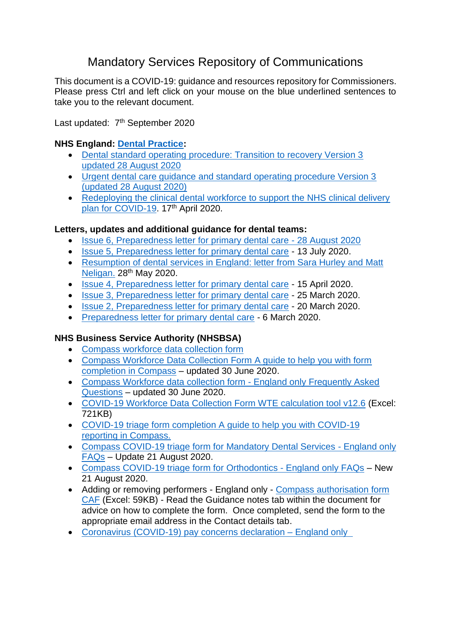# Mandatory Services Repository of Communications

This document is a COVID-19: guidance and resources repository for Commissioners. Please press Ctrl and left click on your mouse on the blue underlined sentences to take you to the relevant document.

Last updated: 7<sup>th</sup> September 2020

#### **NHS England: [Dental Practice:](https://www.england.nhs.uk/coronavirus/primary-care/dental-practice/)**

- [Dental standard operating procedure: Transition to recovery Version 3](https://www.england.nhs.uk/coronavirus/wp-content/uploads/sites/52/2020/06/C0704-dental-transition-to-recovery-sop-28-august-2020.pdf)  [updated 28 August 2020](https://www.england.nhs.uk/coronavirus/wp-content/uploads/sites/52/2020/06/C0704-dental-transition-to-recovery-sop-28-august-2020.pdf)
- [Urgent dental care guidance and standard operating procedure Version 3](https://www.england.nhs.uk/coronavirus/wp-content/uploads/sites/52/2020/08/C0703-covid-19-urgent-dental-care-sop-28-august-2020.pdf)  [\(updated 28 August 2020\)](https://www.england.nhs.uk/coronavirus/wp-content/uploads/sites/52/2020/08/C0703-covid-19-urgent-dental-care-sop-28-august-2020.pdf)
- Redeploying the clinical dental workforce to support the NHS clinical delivery [plan for COVID-19.](https://www.england.nhs.uk/coronavirus/wp-content/uploads/sites/52/2020/04/C0301-Permissions-Redeploying-our-people-clinical-dental-workforce-v2.pdf) 17<sup>th</sup> April 2020.

#### **Letters, updates and additional guidance for dental teams:**

- [Issue 6, Preparedness letter for primary dental care -](https://www.england.nhs.uk/coronavirus/wp-content/uploads/sites/52/2020/03/C0690-dental-update-letter-from-sara-hurley-28-aug-2020.pdf) 28 August 2020
- [Issue 5, Preparedness letter for primary dental care](https://www.england.nhs.uk/coronavirus/wp-content/uploads/sites/52/2020/03/C0603-Dental-preparedness-letter_July-2020.pdf) 13 July 2020.
- [Resumption of dental services in England: letter from Sara Hurley and Matt](https://www.england.nhs.uk/coronavirus/wp-content/uploads/sites/52/2020/03/Urgent-dental-care-letter-28-May.pdf)  [Neligan.](https://www.england.nhs.uk/coronavirus/wp-content/uploads/sites/52/2020/03/Urgent-dental-care-letter-28-May.pdf) 28<sup>th</sup> May 2020.
- [Issue 4, Preparedness letter for primary dental care](https://www.england.nhs.uk/coronavirus/wp-content/uploads/sites/52/2020/03/C0282-covid-19-dental-preparedness-letter-15-april-2020.pdf) 15 April 2020.
- [Issue 3, Preparedness letter for primary dental care](https://www.england.nhs.uk/coronavirus/wp-content/uploads/sites/52/2020/03/issue-3-preparedness-letter-for-primary-dental-care-25-march-2020.pdf) 25 March 2020.
- [Issue 2, Preparedness letter for primary dental care](https://www.england.nhs.uk/coronavirus/wp-content/uploads/sites/52/2020/03/Issue-2-Preparedness-letter-for-primary-dental-care-20-March-2020.pdf) 20 March 2020.
- [Preparedness letter for primary dental care](https://www.england.nhs.uk/coronavirus/wp-content/uploads/sites/52/2020/03/preparedness-letter-primary-care-dental-9-march.pdf) 6 March 2020.

## **NHS Business Service Authority (NHSBSA)**

- [Compass workforce data collection form](https://www.nhsbsa.nhs.uk/sites/default/files/2020-06/Workforce_data_collection_form_common_errors_v0.2.01.pdf)
- [Compass Workforce Data Collection Form A guide to help you with form](https://www.nhsbsa.nhs.uk/sites/default/files/2020-06/Workforce_data_collection_form_User_Guide_final_v4.1_20200630.pdf)  [completion in Compass](https://www.nhsbsa.nhs.uk/sites/default/files/2020-06/Workforce_data_collection_form_User_Guide_final_v4.1_20200630.pdf) – updated 30 June 2020.
- [Compass Workforce data collection form -](https://www.nhsbsa.nhs.uk/sites/default/files/2020-06/Workforce_data_collection_form_FAQs_v4.0_20200630.pdf) England only Frequently Asked [Questions](https://www.nhsbsa.nhs.uk/sites/default/files/2020-06/Workforce_data_collection_form_FAQs_v4.0_20200630.pdf) – updated 30 June 2020.
- [COVID-19 Workforce Data Collection Form WTE calculation tool v12.6](https://www.nhsbsa.nhs.uk/sites/default/files/2020-06/WTE_Calc_Tool_v12.6.xlsx) (Excel: 721KB)
- [COVID-19 triage form completion A guide to help you with COVID-19](https://www.nhsbsa.nhs.uk/sites/default/files/2020-08/Triage_Covid-19_guidance_v4.2_20200821.pdf)  [reporting in Compass.](https://www.nhsbsa.nhs.uk/sites/default/files/2020-08/Triage_Covid-19_guidance_v4.2_20200821.pdf)
- [Compass COVID-19 triage form for Mandatory Dental Services -](https://www.nhsbsa.nhs.uk/sites/default/files/2020-08/Triage_Form_Mandatory_Services_FAQ_V4.3_20200821.pdf) England only [FAQs](https://www.nhsbsa.nhs.uk/sites/default/files/2020-08/Triage_Form_Mandatory_Services_FAQ_V4.3_20200821.pdf) – Update 21 August 2020.
- [Compass COVID-19 triage form for Orthodontics -](https://www.nhsbsa.nhs.uk/sites/default/files/2020-08/Triage_Form_Ortho_FAQ_1.1_20200821.pdf) England only FAQs New 21 August 2020.
- Adding or removing performers England only Compass authorisation form [CAF](https://www.nhsbsa.nhs.uk/sites/default/files/2020-07/CAF_Form_England_1August_2020v1.xlsx) (Excel: 59KB) - Read the Guidance notes tab within the document for advice on how to complete the form. Once completed, send the form to the appropriate email address in the Contact details tab.
- [Coronavirus \(COVID-19\) pay concerns declaration –](https://wh1.snapsurveys.com/s.asp?k=159833465094) England only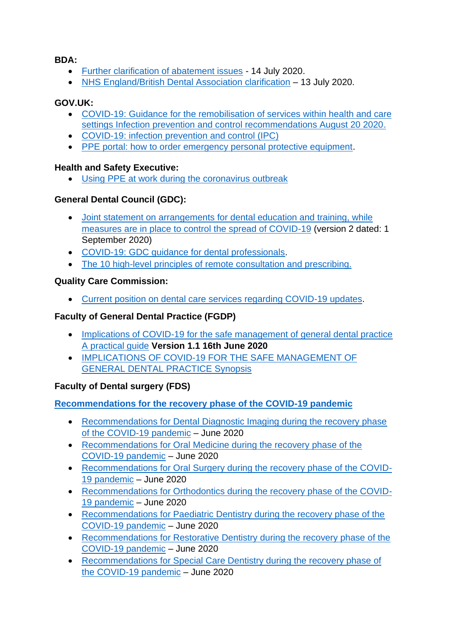#### **BDA:**

- [Further clarification of abatement issues](https://bda.org/advice/Coronavirus/Documents/England-further-clarification-of-abatement-issues-140720.pdf#search=side%20letter) 14 July 2020.
- [NHS England/British Dental Association clarification](https://bda.org/advice/Coronavirus/Documents/England-further-clarification-of-abatement-issues-140720.pdf) 13 July 2020.

### **GOV.UK:**

- [COVID-19: Guidance for the remobilisation of services within health and care](https://assets.publishing.service.gov.uk/government/uploads/system/uploads/attachment_data/file/910885/COVID-19_Infection_prevention_and_control_guidance_FINAL_PDF_20082020.pdf)  [settings Infection prevention and control recommendations August 20 2020.](https://assets.publishing.service.gov.uk/government/uploads/system/uploads/attachment_data/file/910885/COVID-19_Infection_prevention_and_control_guidance_FINAL_PDF_20082020.pdf)
- [COVID-19: infection prevention and control \(IPC\)](https://www.gov.uk/government/publications/wuhan-novel-coronavirus-infection-prevention-and-control)
- [PPE portal: how to order emergency personal protective equipment.](https://www.gov.uk/guidance/ppe-portal-how-to-order-emergency-personal-protective-equipment)

#### **Health and Safety Executive:**

• [Using PPE at work during the coronavirus outbreak](https://www.hse.gov.uk/coronavirus/ppe-face-masks/index.htm)

#### **General Dental Council (GDC):**

- [Joint statement on arrangements for dental education and training, while](https://www.gdc-uk.org/news-blogs/news/detail/2020/09/01/joint-statement-on-arrangements-for-dental-education-and-training-while-measures-are-in-place-to-control-the-spread-of-covid-19-(version-2-dated-1-september-2020))  [measures are in place to control the spread of COVID-19](https://www.gdc-uk.org/news-blogs/news/detail/2020/09/01/joint-statement-on-arrangements-for-dental-education-and-training-while-measures-are-in-place-to-control-the-spread-of-covid-19-(version-2-dated-1-september-2020)) (version 2 dated: 1 September 2020)
- [COVID-19: GDC guidance for dental professionals.](https://www.gdc-uk.org/information-standards-guidance/covid-19/covid-19-latest-information/covid-19-guidance-from-the-gdc)
- [The 10 high-level principles of remote consultation and prescribing.](https://www.gdc-uk.org/docs/default-source/guidance-documents/high-level-principles-remote-consultations-and-prescribing.pdf)

#### **Quality Care Commission:**

• [Current position on dental care services regarding COVID-19 updates.](https://www.cqc.org.uk/guidance-providers/dentists/current-position-dental-care-services-regarding-covid-19-updates)

## **Faculty of General Dental Practice (FGDP)**

- [Implications of COVID-19 for the safe management of general dental practice](https://www.fgdp.org.uk/sites/fgdp.org.uk/files/editors/FGDP%20CGDent%20Implications%20of%20COVID-19%20for%20the%20safe%20management%20of%20general%20dental%20practice%2016%20June%202020%20ed1.1.pdf)  [A practical guide](https://www.fgdp.org.uk/sites/fgdp.org.uk/files/editors/FGDP%20CGDent%20Implications%20of%20COVID-19%20for%20the%20safe%20management%20of%20general%20dental%20practice%2016%20June%202020%20ed1.1.pdf) **Version 1.1 16th June 2020**
- [IMPLICATIONS OF COVID-19 FOR THE SAFE MANAGEMENT OF](https://www.fgdp.org.uk/sites/fgdp.org.uk/files/editors/FGDP%20CGDent%20SYNOPSIS%20Implications%20of%20COVID-19%20for%20the%20safe%20management%20of%20general%20dental%20practice%2016%20June%202020.pdf)  [GENERAL DENTAL PRACTICE Synopsis](https://www.fgdp.org.uk/sites/fgdp.org.uk/files/editors/FGDP%20CGDent%20SYNOPSIS%20Implications%20of%20COVID-19%20for%20the%20safe%20management%20of%20general%20dental%20practice%2016%20June%202020.pdf)

## **Faculty of Dental surgery (FDS)**

## **[Recommendations for the recovery phase of the COVID-19 pandemic](https://www.rcseng.ac.uk/dental-faculties/fds/coronavirus/#guidance)**

- [Recommendations for Dental Diagnostic Imaging during the recovery phase](https://www.rcseng.ac.uk/-/media/files/rcs/fds/guidelines/v2_recommendations-for-dental-radiography_june2020.pdf)  [of the COVID-19 pandemic](https://www.rcseng.ac.uk/-/media/files/rcs/fds/guidelines/v2_recommendations-for-dental-radiography_june2020.pdf) – June 2020
- [Recommendations for Oral Medicine during the recovery phase of the](https://www.rcseng.ac.uk/-/media/files/rcs/fds/guidelines/v3_recommendations-for-oral-medicine_june2020.pdf)  [COVID-19 pandemic](https://www.rcseng.ac.uk/-/media/files/rcs/fds/guidelines/v3_recommendations-for-oral-medicine_june2020.pdf) – June 2020
- [Recommendations for Oral Surgery during the recovery phase of the COVID-](https://www.rcseng.ac.uk/-/media/files/rcs/fds/guidelines/v2_recommendations-for-oral-surgery_june2020.pdf)[19 pandemic](https://www.rcseng.ac.uk/-/media/files/rcs/fds/guidelines/v2_recommendations-for-oral-surgery_june2020.pdf) – June 2020
- [Recommendations for Orthodontics during the recovery phase of the COVID-](https://www.rcseng.ac.uk/-/media/files/rcs/fds/guidelines/v2_recommendations-for-orthodontics_june2020.pdf)[19 pandemic](https://www.rcseng.ac.uk/-/media/files/rcs/fds/guidelines/v2_recommendations-for-orthodontics_june2020.pdf) – June 2020
- [Recommendations for Paediatric Dentistry during the recovery phase of the](https://www.rcseng.ac.uk/-/media/files/rcs/fds/guidelines/v3_recommendations-for-paediatric-dentistry_june2020.pdf)  [COVID-19 pandemic](https://www.rcseng.ac.uk/-/media/files/rcs/fds/guidelines/v3_recommendations-for-paediatric-dentistry_june2020.pdf) – June 2020
- [Recommendations for Restorative Dentistry during the recovery phase of the](https://www.rcseng.ac.uk/-/media/files/rcs/fds/faculty/recommendations-for-restorative-dentistry_augustupdate.pdf)  [COVID-19 pandemic](https://www.rcseng.ac.uk/-/media/files/rcs/fds/faculty/recommendations-for-restorative-dentistry_augustupdate.pdf) – June 2020
- [Recommendations for Special Care Dentistry during the recovery phase of](https://www.rcseng.ac.uk/-/media/files/rcs/fds/faculty/recommendations-for-special-care-dentistry_augustupdate.pdf)  [the COVID-19 pandemic](https://www.rcseng.ac.uk/-/media/files/rcs/fds/faculty/recommendations-for-special-care-dentistry_augustupdate.pdf) – June 2020